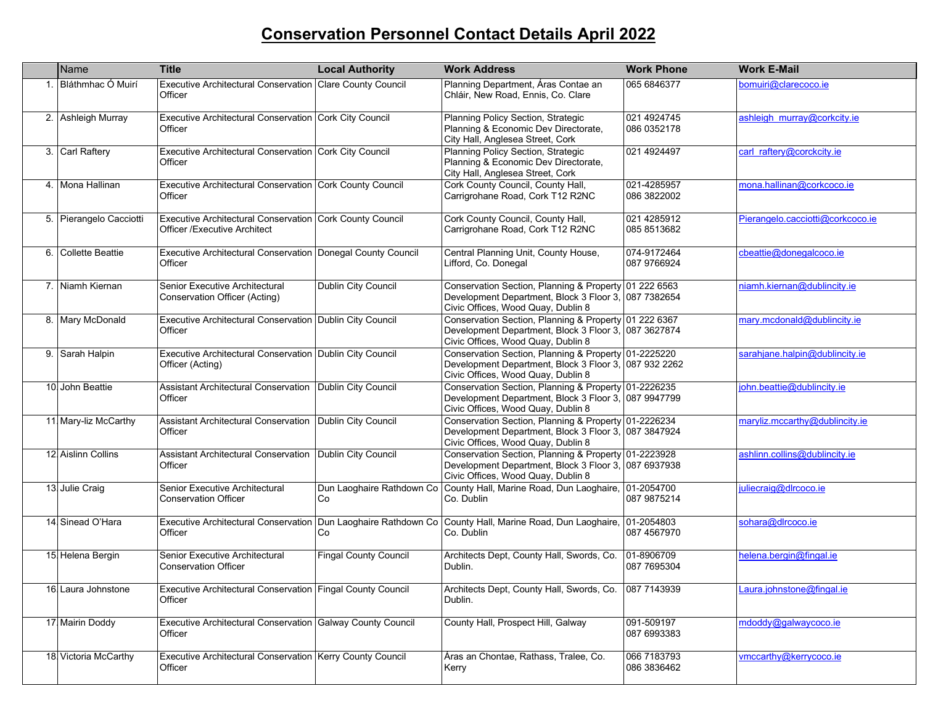## **Conservation Personnel Contact Details April 2022**

| Name                    | <b>Title</b>                                                                                    | <b>Local Authority</b>       | <b>Work Address</b>                                                                                                                                 | <b>Work Phone</b>          | <b>Work E-Mail</b>               |
|-------------------------|-------------------------------------------------------------------------------------------------|------------------------------|-----------------------------------------------------------------------------------------------------------------------------------------------------|----------------------------|----------------------------------|
| Bláthmhac Ó Muirí       | Executive Architectural Conservation Clare County Council<br>Officer                            |                              | Planning Department, Áras Contae an<br>Chláir, New Road, Ennis, Co. Clare                                                                           | 065 6846377                | bomuiri@clarecoco.je             |
| 2. Ashleigh Murray      | Executive Architectural Conservation Cork City Council<br>Officer                               |                              | Planning Policy Section, Strategic<br>Planning & Economic Dev Directorate,<br>City Hall, Anglesea Street, Cork                                      | 021 4924745<br>086 0352178 | ashleigh murray@corkcity.ie      |
| 3. Carl Raftery         | Executive Architectural Conservation Cork City Council<br>Officer                               |                              | Planning Policy Section, Strategic<br>Planning & Economic Dev Directorate,<br>City Hall, Anglesea Street, Cork                                      | 021 4924497                | carl_raftery@corckcity.ie        |
| 4. Mona Hallinan        | Executive Architectural Conservation Cork County Council<br>Officer                             |                              | Cork County Council, County Hall,<br>Carrigrohane Road, Cork T12 R2NC                                                                               | 021-4285957<br>086 3822002 | mona.hallinan@corkcoco.ie        |
| 5. Pierangelo Cacciotti | Executive Architectural Conservation Cork County Council<br><b>Officer /Executive Architect</b> |                              | Cork County Council, County Hall,<br>Carrigrohane Road, Cork T12 R2NC                                                                               | 021 4285912<br>085 8513682 | Pierangelo.cacciotti@corkcoco.je |
| 6. Collette Beattie     | Executive Architectural Conservation   Donegal County Council<br>Officer                        |                              | Central Planning Unit, County House,<br>Lifford, Co. Donegal                                                                                        | 074-9172464<br>087 9766924 | cbeattie@donegalcoco.ie          |
| 7. Niamh Kiernan        | Senior Executive Architectural<br>Conservation Officer (Acting)                                 | Dublin City Council          | Conservation Section, Planning & Property 01 222 6563<br>Development Department, Block 3 Floor 3, 087 7382654<br>Civic Offices, Wood Quay, Dublin 8 |                            | niamh.kiernan@dublincity.ie      |
| 8. Mary McDonald        | Executive Architectural Conservation Dublin City Council<br>Officer                             |                              | Conservation Section, Planning & Property 01 222 6367<br>Development Department, Block 3 Floor 3, 087 3627874<br>Civic Offices, Wood Quay, Dublin 8 |                            | mary.mcdonald@dublincity.ie      |
| 9. Sarah Halpin         | Executive Architectural Conservation Dublin City Council<br>Officer (Acting)                    |                              | Conservation Section, Planning & Property 01-2225220<br>Development Department, Block 3 Floor 3, 087 932 2262<br>Civic Offices, Wood Quay, Dublin 8 |                            | sarahjane.halpin@dublincity.ie   |
| 10. John Beattie        | <b>Assistant Architectural Conservation</b><br>Officer                                          | Dublin City Council          | Conservation Section, Planning & Property 01-2226235<br>Development Department, Block 3 Floor 3, 087 9947799<br>Civic Offices, Wood Quay, Dublin 8  |                            | john.beattie@dublincity.ie       |
| 11 Mary-liz McCarthy    | Assistant Architectural Conservation   Dublin City Council<br>Officer                           |                              | Conservation Section, Planning & Property 01-2226234<br>Development Department, Block 3 Floor 3, 087 3847924<br>Civic Offices, Wood Quay, Dublin 8  |                            | maryliz.mccarthy@dublincity.ie   |
| 12 Aislinn Collins      | Assistant Architectural Conservation   Dublin City Council<br>Officer                           |                              | Conservation Section, Planning & Property 01-2223928<br>Development Department, Block 3 Floor 3, 087 6937938<br>Civic Offices, Wood Quay, Dublin 8  |                            | ashlinn.collins@dublincity.ie    |
| 13. Julie Craig         | Senior Executive Architectural<br><b>Conservation Officer</b>                                   | Co                           | Dun Laoghaire Rathdown Co   County Hall, Marine Road, Dun Laoghaire, 01-2054700<br>Co. Dublin                                                       | 087 9875214                | juliecraig@dlrcoco.ie            |
| 14 Sinead O'Hara        | <b>Executive Architectural Conservation</b><br>Officer                                          | Co                           | Dun Laoghaire Rathdown Co County Hall, Marine Road, Dun Laoghaire, 01-2054803<br>Co. Dublin                                                         | 087 4567970                | sohara@dlrcoco.ie                |
| 15 Helena Bergin        | Senior Executive Architectural<br><b>Conservation Officer</b>                                   | <b>Fingal County Council</b> | Architects Dept, County Hall, Swords, Co.<br>Dublin.                                                                                                | 01-8906709<br>087 7695304  | helena.bergin@fingal.ie          |
| 16. Laura Johnstone     | Executive Architectural Conservation   Fingal County Council<br>Officer                         |                              | Architects Dept, County Hall, Swords, Co. 1087 7143939<br>Dublin.                                                                                   |                            | Laura.johnstone@fingal.ie        |
| 17 Mairin Doddy         | Executive Architectural Conservation Galway County Council<br>Officer                           |                              | County Hall, Prospect Hill, Galway                                                                                                                  | 091-509197<br>087 6993383  | mdoddy@galwaycoco.ie             |
| 18 Victoria McCarthy    | Executive Architectural Conservation Kerry County Council<br>Officer                            |                              | Áras an Chontae, Rathass, Tralee, Co.<br>Kerry                                                                                                      | 066 7183793<br>086 3836462 | vmccarthy@kerrycoco.ie           |